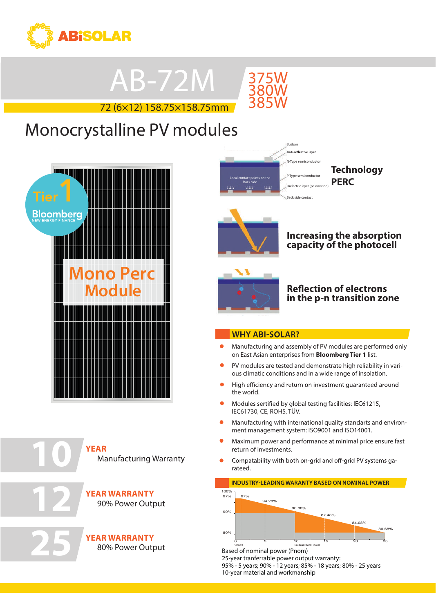

## AB-72M

72 (6×12) 158.75×158.75mm



### **Tier**<br>11 **Monocrystalline PV modules**





**12**

**25**

**YEAR** Manufacturing Warranty

**YEAR WARRANTY** 90% Power Output

**YEAR WARRANTY** 80% Power Output

Busbars -<br>Anti-reflective layer N-Type semiconductor P-Type semiconductor Local contact points on the back side Dielectric layer (passivation) Back side contact

**Technology PERC**



### **Increasing the absorption capacity of the photocell**



### **Reflection of electrons in the p-n transition zone**

#### **WHY ABI-SOLAR?**

- Manufacturing and assembly of PV modules are performed only on East Asian enterprises from **Bloomberg Tier 1** list.
- PV modules are tested and demonstrate high reliability in various climatic conditions and in a wide range of insolation.
- High efficiency and return on investment quaranteed around the world.
- $\bullet$ IEC61730, CE, ROHS, TÜV. Modules sertified by alobal tes
- $\bullet$ Manufacturing with international quality standarts and environment management system: ISO9001 and ISO14001. current [A]<br>|-
- $\bullet$ return of investments. Maximum power and performance at minimal price ensure fast
- Compatability with both on-grid and off-grid PV systems garateed.

#### **INDUSTRY-LEADING WARANTY BASED ON NOMINAL POWER**



Based of nominal power (Pnom) 25-year tranferrable power output warranty: 95% - 5 years; 90% - 12 years; 85% - 18 years; 80% - 25 years 10-year material and workmanship

+1 305 504 2302